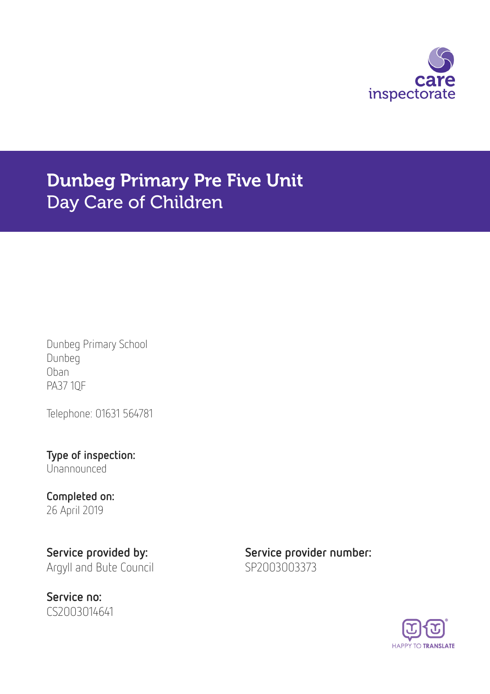

# Dunbeg Primary Pre Five Unit Day Care of Children

Dunbeg Primary School Dunbeg Oban PA37 1QF

Telephone: 01631 564781

Type of inspection: Unannounced

### Completed on: 26 April 2019

Service no: CS2003014641

Service provided by: Service provider number: Argyll and Bute Council SP2003003373

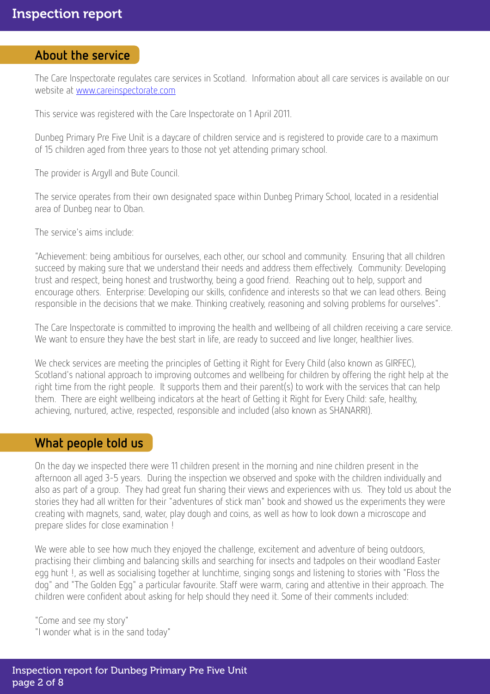#### About the service

The Care Inspectorate regulates care services in Scotland. Information about all care services is available on our website at [www.careinspectorate.com](http://www.careinspectorate.com)

This service was registered with the Care Inspectorate on 1 April 2011.

Dunbeg Primary Pre Five Unit is a daycare of children service and is registered to provide care to a maximum of 15 children aged from three years to those not yet attending primary school.

The provider is Argyll and Bute Council.

The service operates from their own designated space within Dunbeg Primary School, located in a residential area of Dunbeg near to Oban.

The service's aims include:

"Achievement: being ambitious for ourselves, each other, our school and community. Ensuring that all children succeed by making sure that we understand their needs and address them effectively. Community: Developing trust and respect, being honest and trustworthy, being a good friend. Reaching out to help, support and encourage others. Enterprise: Developing our skills, confidence and interests so that we can lead others. Being responsible in the decisions that we make. Thinking creatively, reasoning and solving problems for ourselves".

The Care Inspectorate is committed to improving the health and wellbeing of all children receiving a care service. We want to ensure they have the best start in life, are ready to succeed and live longer, healthier lives.

We check services are meeting the principles of Getting it Right for Every Child (also known as GIRFEC), Scotland's national approach to improving outcomes and wellbeing for children by offering the right help at the right time from the right people. It supports them and their parent(s) to work with the services that can help them. There are eight wellbeing indicators at the heart of Getting it Right for Every Child: safe, healthy, achieving, nurtured, active, respected, responsible and included (also known as SHANARRI).

### What people told us

On the day we inspected there were 11 children present in the morning and nine children present in the afternoon all aged 3-5 years. During the inspection we observed and spoke with the children individually and also as part of a group. They had great fun sharing their views and experiences with us. They told us about the stories they had all written for their "adventures of stick man" book and showed us the experiments they were creating with magnets, sand, water, play dough and coins, as well as how to look down a microscope and prepare slides for close examination !

We were able to see how much they enjoyed the challenge, excitement and adventure of being outdoors, practising their climbing and balancing skills and searching for insects and tadpoles on their woodland Easter egg hunt !, as well as socialising together at lunchtime, singing songs and listening to stories with "Floss the dog" and "The Golden Egg" a particular favourite. Staff were warm, caring and attentive in their approach. The children were confident about asking for help should they need it. Some of their comments included:

"Come and see my story" "I wonder what is in the sand today"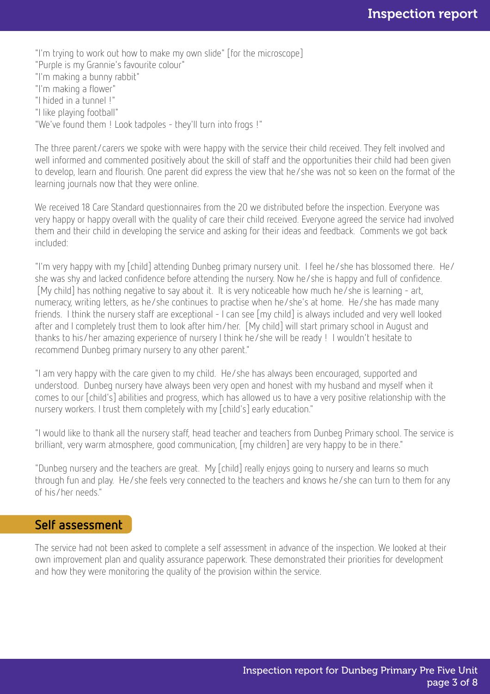"I'm trying to work out how to make my own slide" [for the microscope] "Purple is my Grannie's favourite colour" "I'm making a bunny rabbit" "I'm making a flower" "I hided in a tunnel !" "I like playing football" "We've found them ! Look tadpoles - they'll turn into frogs !"

The three parent/carers we spoke with were happy with the service their child received. They felt involved and well informed and commented positively about the skill of staff and the opportunities their child had been given to develop, learn and flourish. One parent did express the view that he/she was not so keen on the format of the learning journals now that they were online.

We received 18 Care Standard questionnaires from the 20 we distributed before the inspection. Everyone was very happy or happy overall with the quality of care their child received. Everyone agreed the service had involved them and their child in developing the service and asking for their ideas and feedback. Comments we got back included:

"I'm very happy with my [child] attending Dunbeg primary nursery unit. I feel he/she has blossomed there. He/ she was shy and lacked confidence before attending the nursery. Now he/she is happy and full of confidence. [My child] has nothing negative to say about it. It is very noticeable how much he/she is learning - art, numeracy, writing letters, as he/she continues to practise when he/she's at home. He/she has made many friends. I think the nursery staff are exceptional - I can see [my child] is always included and very well looked after and I completely trust them to look after him/her. [My child] will start primary school in August and thanks to his/her amazing experience of nursery I think he/she will be ready ! I wouldn't hesitate to recommend Dunbeg primary nursery to any other parent."

"I am very happy with the care given to my child. He/she has always been encouraged, supported and understood. Dunbeg nursery have always been very open and honest with my husband and myself when it comes to our [child's] abilities and progress, which has allowed us to have a very positive relationship with the nursery workers. I trust them completely with my [child's] early education."

"I would like to thank all the nursery staff, head teacher and teachers from Dunbeg Primary school. The service is brilliant, very warm atmosphere, good communication, [my children] are very happy to be in there."

"Dunbeg nursery and the teachers are great. My [child] really enjoys going to nursery and learns so much through fun and play. He/she feels very connected to the teachers and knows he/she can turn to them for any of his/her needs."

### Self assessment

The service had not been asked to complete a self assessment in advance of the inspection. We looked at their own improvement plan and quality assurance paperwork. These demonstrated their priorities for development and how they were monitoring the quality of the provision within the service.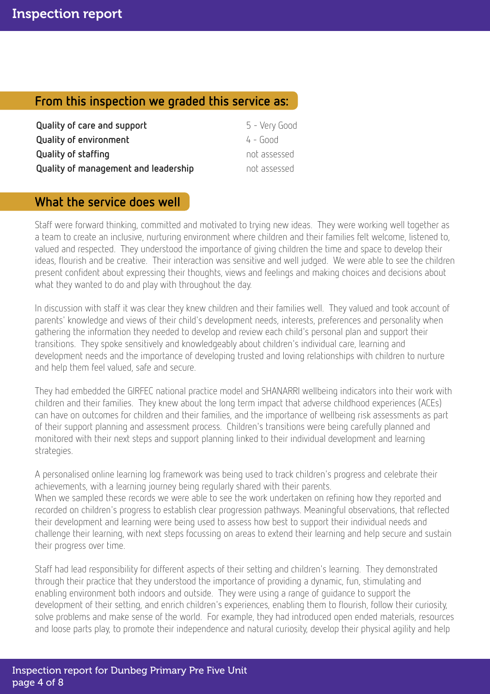# From this inspection we graded this service as:

| Quality of care and support          | 5 - Very Good |
|--------------------------------------|---------------|
| <b>Quality of environment</b>        | $4 - 600d$    |
| Quality of staffing                  | not assessed  |
| Quality of management and leadership | not assessed  |

# What the service does well

Staff were forward thinking, committed and motivated to trying new ideas. They were working well together as a team to create an inclusive, nurturing environment where children and their families felt welcome, listened to, valued and respected. They understood the importance of giving children the time and space to develop their ideas, flourish and be creative. Their interaction was sensitive and well judged. We were able to see the children present confident about expressing their thoughts, views and feelings and making choices and decisions about what they wanted to do and play with throughout the day.

In discussion with staff it was clear they knew children and their families well. They valued and took account of parents' knowledge and views of their child's development needs, interests, preferences and personality when gathering the information they needed to develop and review each child's personal plan and support their transitions. They spoke sensitively and knowledgeably about children's individual care, learning and development needs and the importance of developing trusted and loving relationships with children to nurture and help them feel valued, safe and secure.

They had embedded the GIRFEC national practice model and SHANARRI wellbeing indicators into their work with children and their families. They knew about the long term impact that adverse childhood experiences (ACEs) can have on outcomes for children and their families, and the importance of wellbeing risk assessments as part of their support planning and assessment process. Children's transitions were being carefully planned and monitored with their next steps and support planning linked to their individual development and learning strategies.

A personalised online learning log framework was being used to track children's progress and celebrate their achievements, with a learning journey being regularly shared with their parents. When we sampled these records we were able to see the work undertaken on refining how they reported and recorded on children's progress to establish clear progression pathways. Meaningful observations, that reflected their development and learning were being used to assess how best to support their individual needs and challenge their learning, with next steps focussing on areas to extend their learning and help secure and sustain their progress over time.

Staff had lead responsibility for different aspects of their setting and children's learning. They demonstrated through their practice that they understood the importance of providing a dynamic, fun, stimulating and enabling environment both indoors and outside. They were using a range of guidance to support the development of their setting, and enrich children's experiences, enabling them to flourish, follow their curiosity, solve problems and make sense of the world. For example, they had introduced open ended materials, resources and loose parts play, to promote their independence and natural curiosity, develop their physical agility and help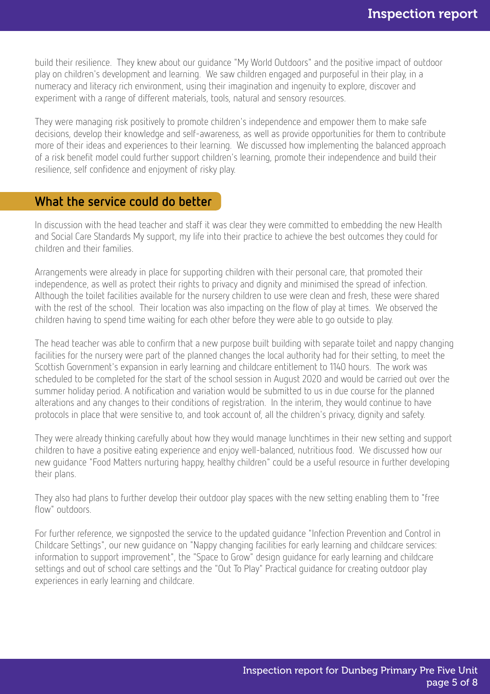build their resilience. They knew about our guidance "My World Outdoors" and the positive impact of outdoor play on children's development and learning. We saw children engaged and purposeful in their play, in a numeracy and literacy rich environment, using their imagination and ingenuity to explore, discover and experiment with a range of different materials, tools, natural and sensory resources.

They were managing risk positively to promote children's independence and empower them to make safe decisions, develop their knowledge and self-awareness, as well as provide opportunities for them to contribute more of their ideas and experiences to their learning. We discussed how implementing the balanced approach of a risk benefit model could further support children's learning, promote their independence and build their resilience, self confidence and enjoyment of risky play.

### What the service could do better

In discussion with the head teacher and staff it was clear they were committed to embedding the new Health and Social Care Standards My support, my life into their practice to achieve the best outcomes they could for children and their families.

Arrangements were already in place for supporting children with their personal care, that promoted their independence, as well as protect their rights to privacy and dignity and minimised the spread of infection. Although the toilet facilities available for the nursery children to use were clean and fresh, these were shared with the rest of the school. Their location was also impacting on the flow of play at times. We observed the children having to spend time waiting for each other before they were able to go outside to play.

The head teacher was able to confirm that a new purpose built building with separate toilet and nappy changing facilities for the nursery were part of the planned changes the local authority had for their setting, to meet the Scottish Government's expansion in early learning and childcare entitlement to 1140 hours. The work was scheduled to be completed for the start of the school session in August 2020 and would be carried out over the summer holiday period. A notification and variation would be submitted to us in due course for the planned alterations and any changes to their conditions of registration. In the interim, they would continue to have protocols in place that were sensitive to, and took account of, all the children's privacy, dignity and safety.

They were already thinking carefully about how they would manage lunchtimes in their new setting and support children to have a positive eating experience and enjoy well-balanced, nutritious food. We discussed how our new guidance "Food Matters nurturing happy, healthy children" could be a useful resource in further developing their plans.

They also had plans to further develop their outdoor play spaces with the new setting enabling them to "free flow" outdoors.

For further reference, we signposted the service to the updated guidance "Infection Prevention and Control in Childcare Settings", our new guidance on "Nappy changing facilities for early learning and childcare services: information to support improvement", the "Space to Grow" design guidance for early learning and childcare settings and out of school care settings and the "Out To Play" Practical guidance for creating outdoor play experiences in early learning and childcare.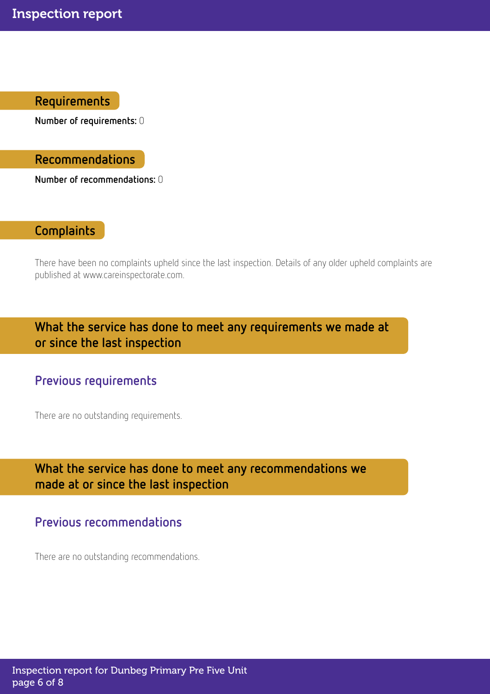Requirements

Number of requirements: 0

Recommendations

Number of recommendations: 0

# **Complaints**

There have been no complaints upheld since the last inspection. Details of any older upheld complaints are published at www.careinspectorate.com.

What the service has done to meet any requirements we made at or since the last inspection

# Previous requirements

There are no outstanding requirements.

# What the service has done to meet any recommendations we made at or since the last inspection

# Previous recommendations

There are no outstanding recommendations.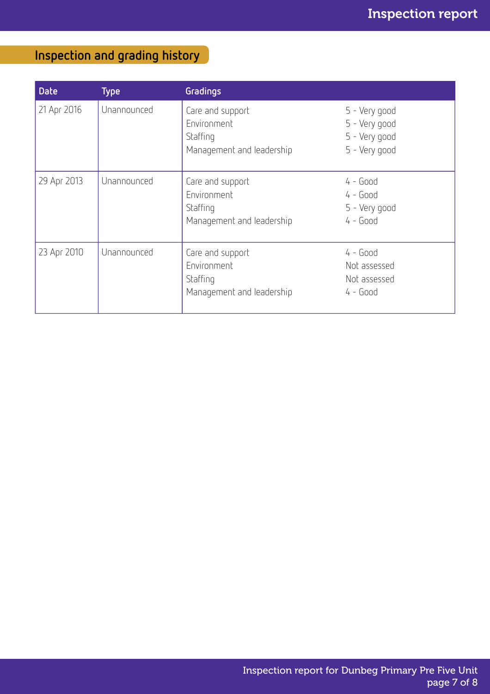# Inspection and grading history

| <b>Date</b> | Type <sup>'</sup> | <b>Gradings</b>                                                          |                                                                  |
|-------------|-------------------|--------------------------------------------------------------------------|------------------------------------------------------------------|
| 21 Apr 2016 | Unannounced       | Care and support<br>Environment<br>Staffing<br>Management and leadership | 5 - Very good<br>5 - Very good<br>5 - Very good<br>5 - Very good |
| 29 Apr 2013 | Unannounced       | Care and support<br>Environment<br>Staffing<br>Management and leadership | $4 - Good$<br>$4 - Good$<br>5 - Very good<br>$4 - Good$          |
| 23 Apr 2010 | Unannounced       | Care and support<br>Environment<br>Staffing<br>Management and leadership | $4 - Good$<br>Not assessed<br>Not assessed<br>$4 - Good$         |